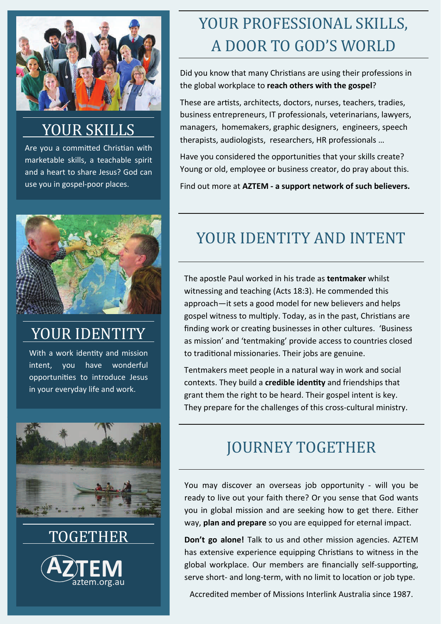

### YOUR SKILLS

Are you a committed Christian with marketable skills, a teachable spirit and a heart to share Jesus? God can use you in gospel‐poor places.



### YOUR IDENTITY

With a work identity and mission intent, you have wonderful opportuniƟes to introduce Jesus in your everyday life and work.







# YOUR PROFESSIONAL SKILLS, A DOOR TO GOD'S WORLD

Did you know that many Christians are using their professions in the global workplace to **reach others with the gospel**?

These are artists, architects, doctors, nurses, teachers, tradies, business entrepreneurs, IT professionals, veterinarians, lawyers, managers, homemakers, graphic designers, engineers, speech therapists, audiologists, researchers, HR professionals …

Have you considered the opportunities that your skills create? Young or old, employee or business creator, do pray about this.

Find out more at **AZTEM ‐ a support network of such believers.**

# YOUR IDENTITY AND INTENT

The apostle Paul worked in his trade as **tentmaker** whilst witnessing and teaching (Acts 18:3). He commended this approach—it sets a good model for new believers and helps gospel witness to multiply. Today, as in the past, Christians are finding work or creating businesses in other cultures. 'Business as mission' and 'tentmaking' provide access to countries closed to traditional missionaries. Their jobs are genuine.

Tentmakers meet people in a natural way in work and social contexts. They build a **credible idenƟty** and friendships that grant them the right to be heard. Their gospel intent is key. They prepare for the challenges of this cross-cultural ministry.

## JOURNEY TOGETHER

You may discover an overseas job opportunity ‐ will you be ready to live out your faith there? Or you sense that God wants you in global mission and are seeking how to get there. Either way, **plan and prepare** so you are equipped for eternal impact.

**Don't go alone!** Talk to us and other mission agencies. AZTEM has extensive experience equipping Christians to witness in the global workplace. Our members are financially self-supporting, serve short- and long-term, with no limit to location or job type.

Accredited member of Missions Interlink Australia since 1987.